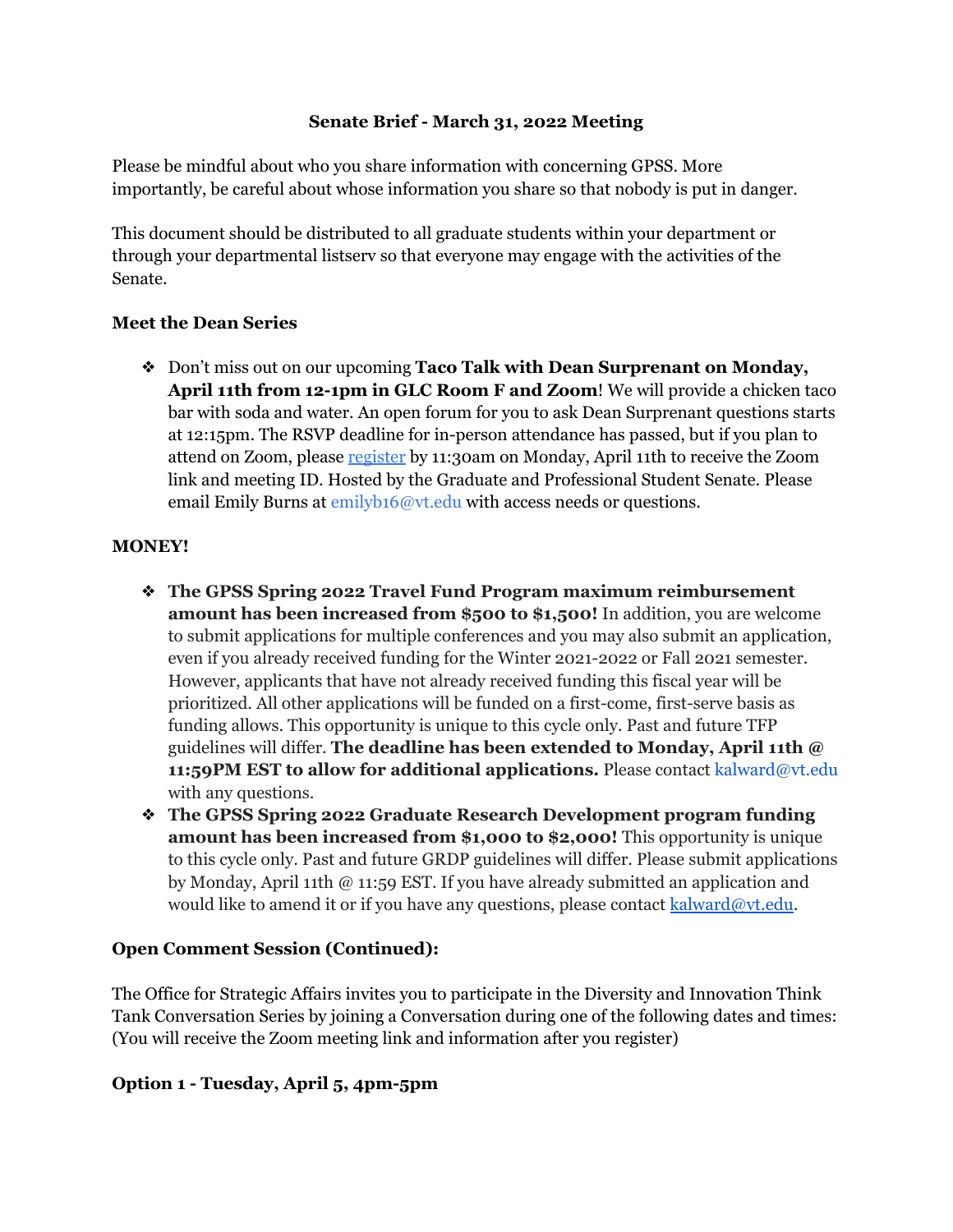### **Senate Brief - March 31, 2022 Meeting**

Please be mindful about who you share information with concerning GPSS. More importantly, be careful about whose information you share so that nobody is put in danger.

This document should be distributed to all graduate students within your department or through your departmental listserv so that everyone may engage with the activities of the Senate.

### **Meet the Dean Series**

❖ Don't miss out on our upcoming **Taco Talk with Dean Surprenant on Monday, April 11th from 12-1pm in GLC Room F and Zoom**! We will provide a chicken taco bar with soda and water. An open forum for you to ask Dean Surprenant questions starts at 12:15pm. The RSVP deadline for in-person attendance has passed, but if you plan to attend on Zoom, please [register](https://virginiatech.zoom.us/meeting/register/tZAocOGpqDwvGdZY2f-RfJ06v5_rxGX16QGV) by 11:30am on Monday, April 11th to receive the Zoom link and meeting ID. Hosted by the Graduate and Professional Student Senate. Please email Emily Burns at emilyb16@vt.edu with access needs or questions.

### **MONEY!**

- ❖ **The GPSS Spring 2022 Travel Fund Program maximum reimbursement amount has been increased from \$500 to \$1,500!** In addition, you are welcome to submit applications for multiple conferences and you may also submit an application, even if you already received funding for the Winter 2021-2022 or Fall 2021 semester. However, applicants that have not already received funding this fiscal year will be prioritized. All other applications will be funded on a first-come, first-serve basis as funding allows. This opportunity is unique to this cycle only. Past and future TFP guidelines will differ. **The deadline has been extended to Monday, April 11th @ 11:59PM EST to allow for additional applications.** Please contact kalward@vt.edu with any questions.
- ❖ **The GPSS Spring 2022 Graduate Research Development program funding amount has been increased from \$1,000 to \$2,000!** This opportunity is unique to this cycle only. Past and future GRDP guidelines will differ. Please submit applications by Monday, April 11th @ 11:59 EST. If you have already submitted an application and would like to amend it or if you have any questions, please contact [kalward@vt.edu.](mailto:kalward@vt.edu)

## **Open Comment Session (Continued):**

The Office for Strategic Affairs invites you to participate in the Diversity and Innovation Think Tank Conversation Series by joining a Conversation during one of the following dates and times: (You will receive the Zoom meeting link and information after you register)

## **Option 1 - Tuesday, April 5, 4pm-5pm**